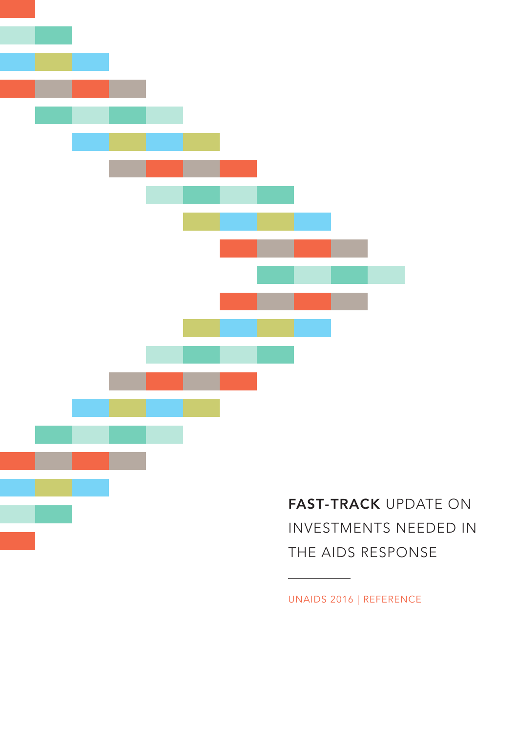

UNAIDS 2016 | REFERENCE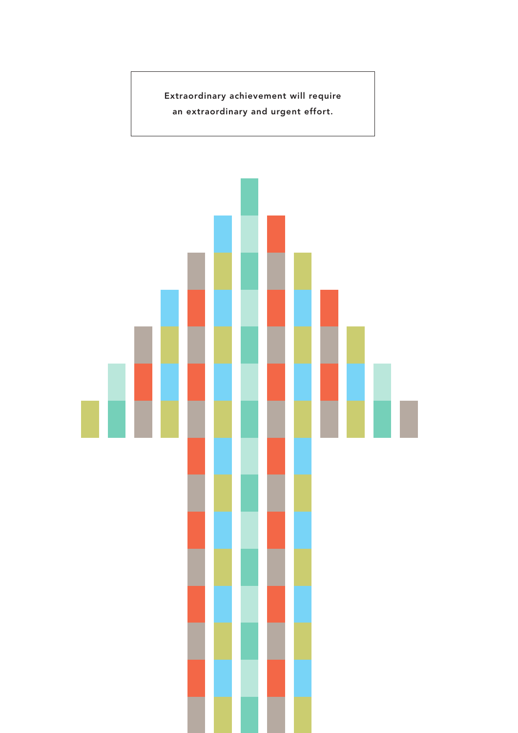Extraordinary achievement will require an extraordinary and urgent effort.

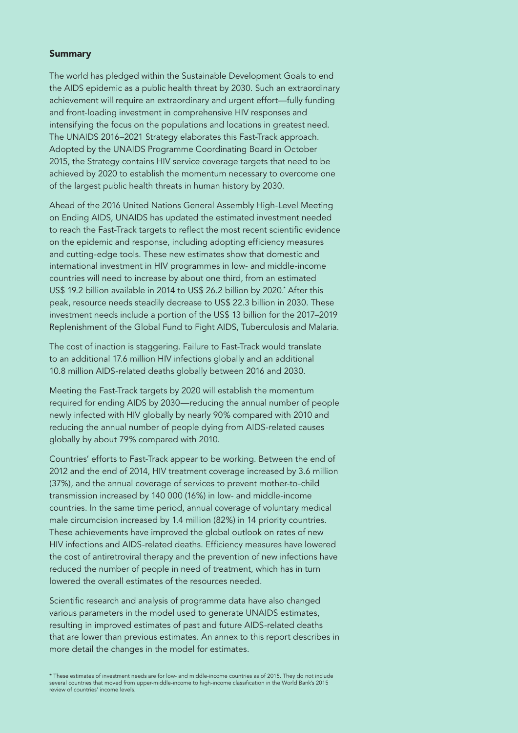#### Summary

The world has pledged within the Sustainable Development Goals to end the AIDS epidemic as a public health threat by 2030. Such an extraordinary achievement will require an extraordinary and urgent effort—fully funding and front-loading investment in comprehensive HIV responses and intensifying the focus on the populations and locations in greatest need. The UNAIDS 2016–2021 Strategy elaborates this Fast-Track approach. Adopted by the UNAIDS Programme Coordinating Board in October 2015, the Strategy contains HIV service coverage targets that need to be achieved by 2020 to establish the momentum necessary to overcome one of the largest public health threats in human history by 2030.

Ahead of the 2016 United Nations General Assembly High-Level Meeting on Ending AIDS, UNAIDS has updated the estimated investment needed to reach the Fast-Track targets to reflect the most recent scientific evidence on the epidemic and response, including adopting efficiency measures and cutting-edge tools. These new estimates show that domestic and international investment in HIV programmes in low- and middle-income countries will need to increase by about one third, from an estimated US\$ 19.2 billion available in 2014 to US\$ 26.2 billion by 2020.\* After this peak, resource needs steadily decrease to US\$ 22.3 billion in 2030. These investment needs include a portion of the US\$ 13 billion for the 2017–2019 Replenishment of the Global Fund to Fight AIDS, Tuberculosis and Malaria.

The cost of inaction is staggering. Failure to Fast-Track would translate to an additional 17.6 million HIV infections globally and an additional 10.8 million AIDS-related deaths globally between 2016 and 2030.

Meeting the Fast-Track targets by 2020 will establish the momentum required for ending AIDS by 2030—reducing the annual number of people newly infected with HIV globally by nearly 90% compared with 2010 and reducing the annual number of people dying from AIDS-related causes globally by about 79% compared with 2010.

Countries' efforts to Fast-Track appear to be working. Between the end of 2012 and the end of 2014, HIV treatment coverage increased by 3.6 million (37%), and the annual coverage of services to prevent mother-to-child transmission increased by 140 000 (16%) in low- and middle-income countries. In the same time period, annual coverage of voluntary medical male circumcision increased by 1.4 million (82%) in 14 priority countries. These achievements have improved the global outlook on rates of new HIV infections and AIDS-related deaths. Efficiency measures have lowered the cost of antiretroviral therapy and the prevention of new infections have reduced the number of people in need of treatment, which has in turn lowered the overall estimates of the resources needed.

Scientific research and analysis of programme data have also changed various parameters in the model used to generate UNAIDS estimates, resulting in improved estimates of past and future AIDS-related deaths that are lower than previous estimates. An annex to this report describes in more detail the changes in the model for estimates.

<sup>\*</sup> These estimates of investment needs are for low- and middle-income countries as of 2015. They do not include several countries that moved from upper-middle-income to high-income classification in the World Bank's 2015 review of countries' income levels.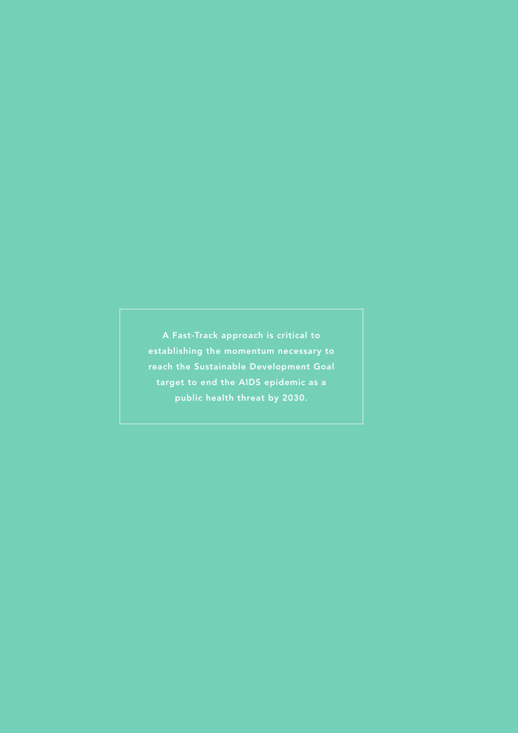A Fast-Track approach is critical to establishing the momentum necessary to reach the Sustainable Development Goal target to end the AIDS epidemic as a public health threat by 2030.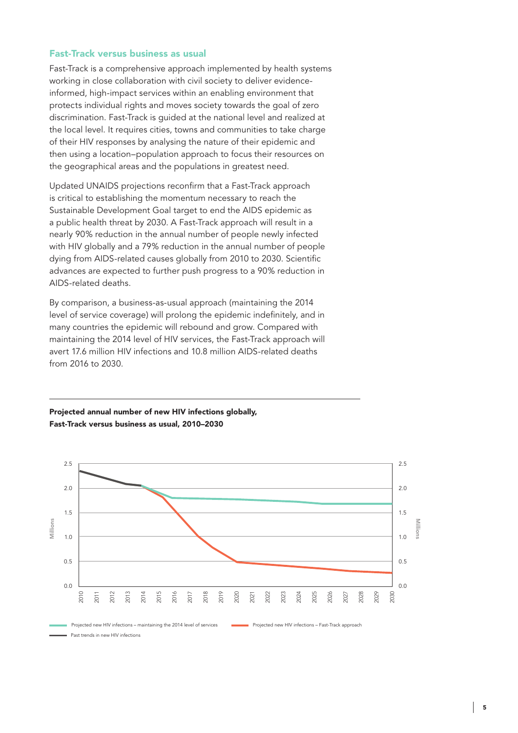### Fast-Track versus business as usual

Fast-Track is a comprehensive approach implemented by health systems working in close collaboration with civil society to deliver evidenceinformed, high-impact services within an enabling environment that protects individual rights and moves society towards the goal of zero discrimination. Fast-Track is guided at the national level and realized at the local level. It requires cities, towns and communities to take charge of their HIV responses by analysing the nature of their epidemic and then using a location–population approach to focus their resources on the geographical areas and the populations in greatest need.

Updated UNAIDS projections reconfirm that a Fast-Track approach is critical to establishing the momentum necessary to reach the Sustainable Development Goal target to end the AIDS epidemic as a public health threat by 2030. A Fast-Track approach will result in a nearly 90% reduction in the annual number of people newly infected with HIV globally and a 79% reduction in the annual number of people dying from AIDS-related causes globally from 2010 to 2030. Scientific advances are expected to further push progress to a 90% reduction in AIDS-related deaths.

By comparison, a business-as-usual approach (maintaining the 2014 level of service coverage) will prolong the epidemic indefinitely, and in many countries the epidemic will rebound and grow. Compared with maintaining the 2014 level of HIV services, the Fast-Track approach will avert 17.6 million HIV infections and 10.8 million AIDS-related deaths from 2016 to 2030.

# Projected annual number of new HIV infections globally, Fast-Track versus business as usual, 2010–2030

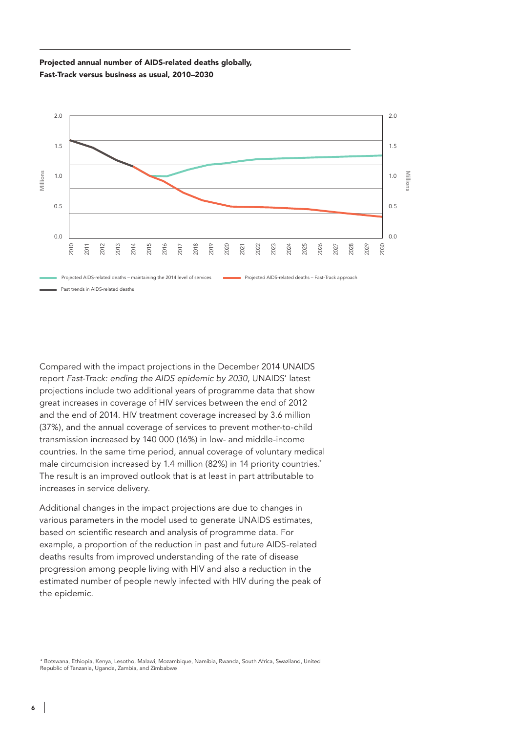



Compared with the impact projections in the December 2014 UNAIDS report *Fast-Track: ending the AIDS epidemic by 2030*, UNAIDS' latest projections include two additional years of programme data that show great increases in coverage of HIV services between the end of 2012 and the end of 2014. HIV treatment coverage increased by 3.6 million (37%), and the annual coverage of services to prevent mother-to-child transmission increased by 140 000 (16%) in low- and middle-income countries. In the same time period, annual coverage of voluntary medical male circumcision increased by 1.4 million (82%) in 14 priority countries.<sup>\*</sup> The result is an improved outlook that is at least in part attributable to increases in service delivery.

Additional changes in the impact projections are due to changes in various parameters in the model used to generate UNAIDS estimates, based on scientific research and analysis of programme data. For example, a proportion of the reduction in past and future AIDS-related deaths results from improved understanding of the rate of disease progression among people living with HIV and also a reduction in the estimated number of people newly infected with HIV during the peak of the epidemic.

\* Botswana, Ethiopia, Kenya, Lesotho, Malawi, Mozambique, Namibia, Rwanda, South Africa, Swaziland, United Republic of Tanzania, Uganda, Zambia, and Zimbabwe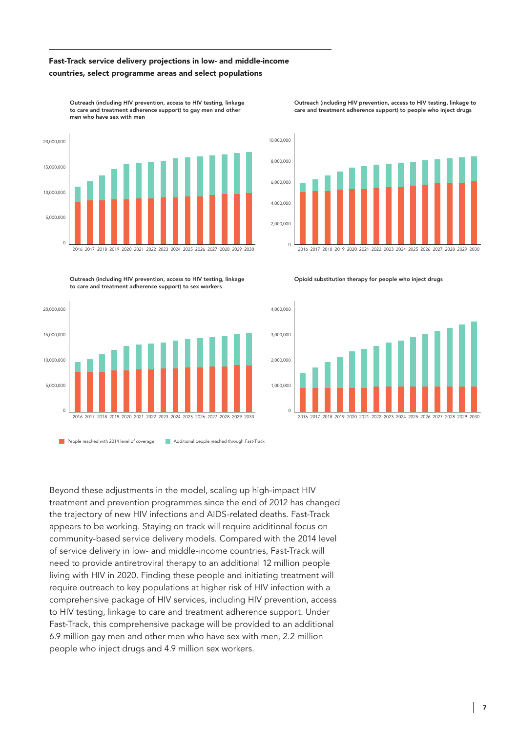### Fast-Track service delivery projections in low- and middle-income

# countries, select programme areas and select populations

Outreach (including HIV prevention, access to HIV testing, linkage to care and treatment adherence support) to gay men and other men who have sex with men



2016 2017 2018 2019 2020 2021 2022 2023 2024 2025 2026 2027 2028 2029 2030

Outreach (including HIV prevention, access to HIV testing, linkage to care and treatment adherence support) to sex workers



People reached with 2014 level of coverage Additional people reached through Fast-Track

Beyond these adjustments in the model, scaling up high-impact HIV treatment and prevention programmes since the end of 2012 has changed the trajectory of new HIV infections and AIDS-related deaths. Fast-Track appears to be working. Staying on track will require additional focus on community-based service delivery models. Compared with the 2014 level of service delivery in low- and middle-income countries, Fast-Track will need to provide antiretroviral therapy to an additional 12 million people living with HIV in 2020. Finding these people and initiating treatment will require outreach to key populations at higher risk of HIV infection with a comprehensive package of HIV services, including HIV prevention, access to HIV testing, linkage to care and treatment adherence support. Under Fast-Track, this comprehensive package will be provided to an additional 6.9 million gay men and other men who have sex with men, 2.2 million people who inject drugs and 4.9 million sex workers.







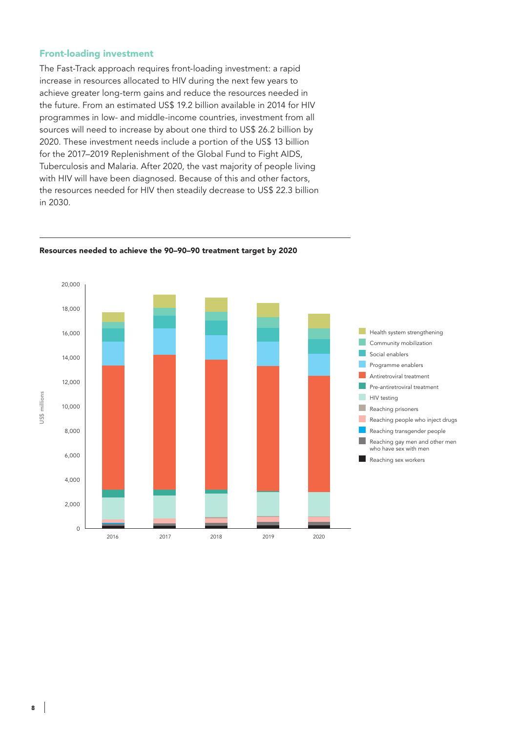# Front-loading investment

The Fast-Track approach requires front-loading investment: a rapid increase in resources allocated to HIV during the next few years to achieve greater long-term gains and reduce the resources needed in the future. From an estimated US\$ 19.2 billion available in 2014 for HIV programmes in low- and middle-income countries, investment from all sources will need to increase by about one third to US\$ 26.2 billion by 2020. These investment needs include a portion of the US\$ 13 billion for the 2017–2019 Replenishment of the Global Fund to Fight AIDS, Tuberculosis and Malaria. After 2020, the vast majority of people living with HIV will have been diagnosed. Because of this and other factors, the resources needed for HIV then steadily decrease to US\$ 22.3 billion in 2030.



#### Resources needed to achieve the 90–90–90 treatment target by 2020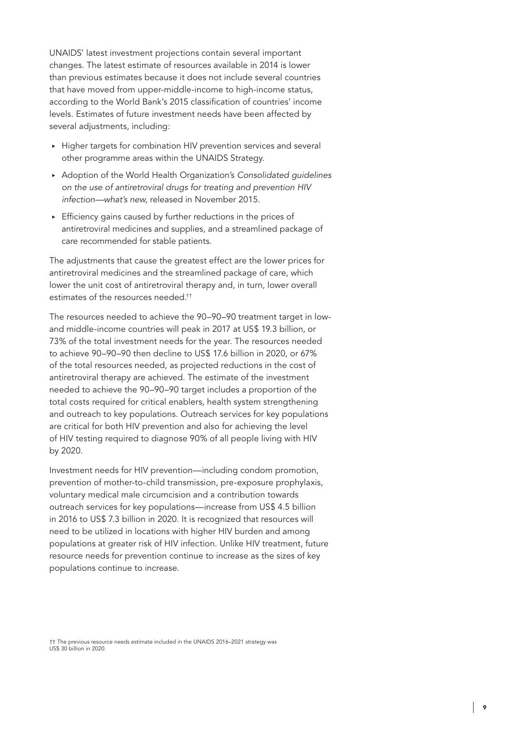UNAIDS' latest investment projections contain several important changes. The latest estimate of resources available in 2014 is lower than previous estimates because it does not include several countries that have moved from upper-middle-income to high-income status, according to the World Bank's 2015 classification of countries' income levels. Estimates of future investment needs have been affected by several adjustments, including:

- > Higher targets for combination HIV prevention services and several other programme areas within the UNAIDS Strategy.
- > Adoption of the World Health Organization's *Consolidated guidelines on the use of antiretroviral drugs for treating and prevention HIV infection—what's new,* released in November 2015.
- > Efficiency gains caused by further reductions in the prices of antiretroviral medicines and supplies, and a streamlined package of care recommended for stable patients.

The adjustments that cause the greatest effect are the lower prices for antiretroviral medicines and the streamlined package of care, which lower the unit cost of antiretroviral therapy and, in turn, lower overall estimates of the resources needed.††

The resources needed to achieve the 90–90–90 treatment target in lowand middle-income countries will peak in 2017 at US\$ 19.3 billion, or 73% of the total investment needs for the year. The resources needed to achieve 90–90–90 then decline to US\$ 17.6 billion in 2020, or 67% of the total resources needed, as projected reductions in the cost of antiretroviral therapy are achieved. The estimate of the investment needed to achieve the 90–90–90 target includes a proportion of the total costs required for critical enablers, health system strengthening and outreach to key populations. Outreach services for key populations are critical for both HIV prevention and also for achieving the level of HIV testing required to diagnose 90% of all people living with HIV by 2020.

Investment needs for HIV prevention—including condom promotion, prevention of mother-to-child transmission, pre-exposure prophylaxis, voluntary medical male circumcision and a contribution towards outreach services for key populations—increase from US\$ 4.5 billion in 2016 to US\$ 7.3 billion in 2020. It is recognized that resources will need to be utilized in locations with higher HIV burden and among populations at greater risk of HIV infection. Unlike HIV treatment, future resource needs for prevention continue to increase as the sizes of key populations continue to increase.

†† The previous resource needs estimate included in the UNAIDS 2016–2021 strategy was US\$ 30 billion in 2020.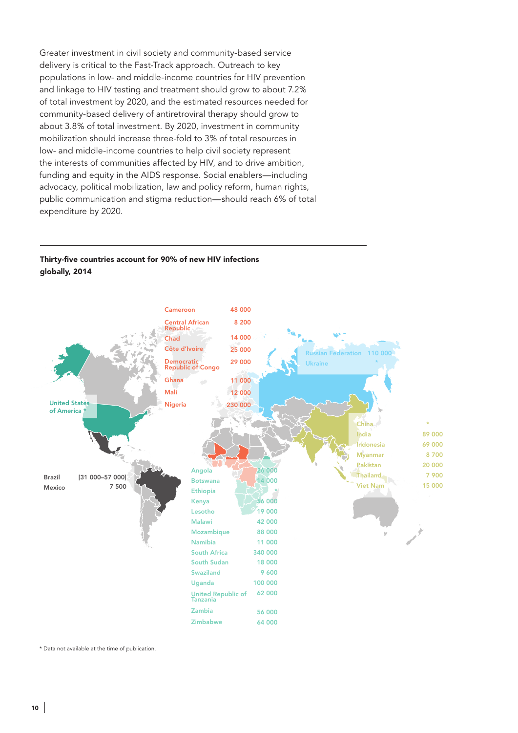Greater investment in civil society and community-based service delivery is critical to the Fast-Track approach. Outreach to key populations in low- and middle-income countries for HIV prevention and linkage to HIV testing and treatment should grow to about 7.2% of total investment by 2020, and the estimated resources needed for community-based delivery of antiretroviral therapy should grow to about 3.8% of total investment. By 2020, investment in community mobilization should increase three-fold to 3% of total resources in low- and middle-income countries to help civil society represent the interests of communities affected by HIV, and to drive ambition, funding and equity in the AIDS response. Social enablers—including advocacy, political mobilization, law and policy reform, human rights, public communication and stigma reduction—should reach 6% of total expenditure by 2020.

### Thirty-five countries account for 90% of new HIV infections globally, 2014



\* Data not available at the time of publication.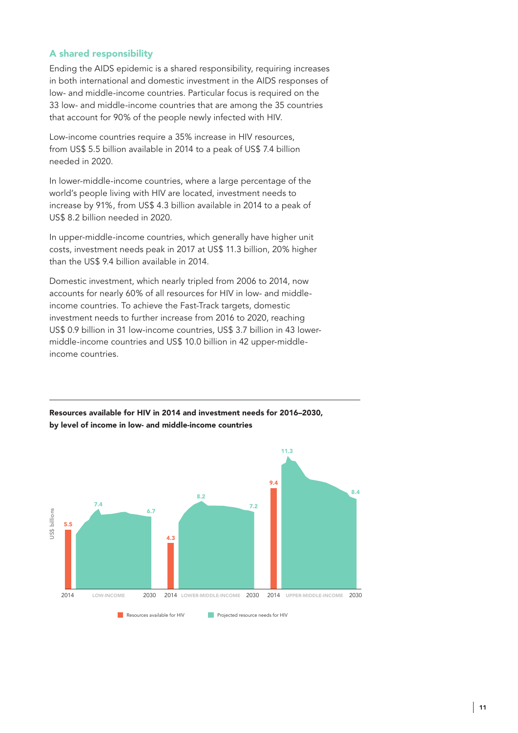# A shared responsibility

Ending the AIDS epidemic is a shared responsibility, requiring increases in both international and domestic investment in the AIDS responses of low- and middle-income countries. Particular focus is required on the 33 low- and middle-income countries that are among the 35 countries that account for 90% of the people newly infected with HIV.

Low-income countries require a 35% increase in HIV resources, from US\$ 5.5 billion available in 2014 to a peak of US\$ 7.4 billion needed in 2020.

In lower-middle-income countries, where a large percentage of the world's people living with HIV are located, investment needs to increase by 91%, from US\$ 4.3 billion available in 2014 to a peak of US\$ 8.2 billion needed in 2020.

In upper-middle-income countries, which generally have higher unit costs, investment needs peak in 2017 at US\$ 11.3 billion, 20% higher than the US\$ 9.4 billion available in 2014.

Domestic investment, which nearly tripled from 2006 to 2014, now accounts for nearly 60% of all resources for HIV in low- and middleincome countries. To achieve the Fast-Track targets, domestic investment needs to further increase from 2016 to 2020, reaching US\$ 0.9 billion in 31 low-income countries, US\$ 3.7 billion in 43 lowermiddle-income countries and US\$ 10.0 billion in 42 upper-middleincome countries.

# Resources available for HIV in 2014 and investment needs for 2016–2030, by level of income in low- and middle-income countries

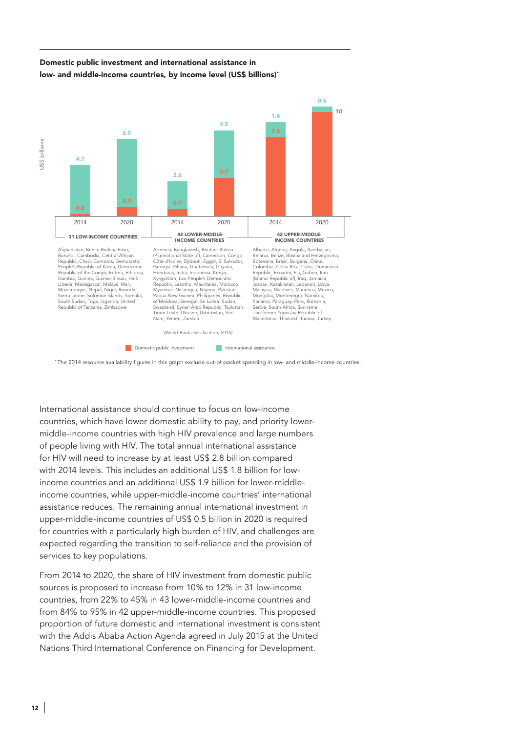## Domestic public investment and international assistance in low- and middle-income countries, by income level (US\$ billions)\*



<sup>\*</sup> The 2014 resource availability figures in this graph exclude out-of-pocket spending in low- and middle-income countries.

International assistance should continue to focus on low-income countries, which have lower domestic ability to pay, and priority lowermiddle-income countries with high HIV prevalence and large numbers of people living with HIV. The total annual international assistance for HIV will need to increase by at least US\$ 2.8 billion compared with 2014 levels. This includes an additional US\$ 1.8 billion for lowincome countries and an additional US\$ 1.9 billion for lower-middleincome countries, while upper-middle-income countries' international assistance reduces. The remaining annual international investment in upper-middle-income countries of US\$ 0.5 billion in 2020 is required for countries with a particularly high burden of HIV, and challenges are expected regarding the transition to self-reliance and the provision of services to key populations.

From 2014 to 2020, the share of HIV investment from domestic public sources is proposed to increase from 10% to 12% in 31 low-income countries, from 22% to 45% in 43 lower-middle-income countries and from 84% to 95% in 42 upper-middle-income countries. This proposed proportion of future domestic and international investment is consistent with the Addis Ababa Action Agenda agreed in July 2015 at the United Nations Third International Conference on Financing for Development.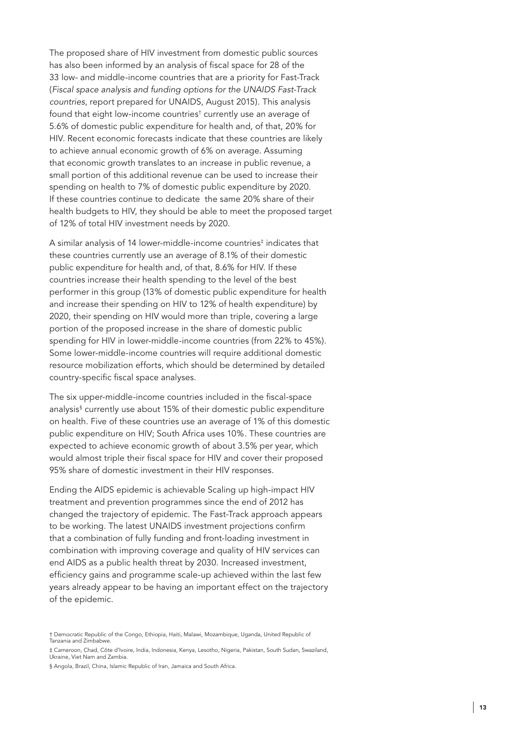The proposed share of HIV investment from domestic public sources has also been informed by an analysis of fiscal space for 28 of the 33 low- and middle-income countries that are a priority for Fast-Track (*Fiscal space analysis and funding options for the UNAIDS Fast-Track countries*, report prepared for UNAIDS, August 2015). This analysis found that eight low-income countries $^\mathrm{t}$  currently use an average of 5.6% of domestic public expenditure for health and, of that, 20% for HIV. Recent economic forecasts indicate that these countries are likely to achieve annual economic growth of 6% on average. Assuming that economic growth translates to an increase in public revenue, a small portion of this additional revenue can be used to increase their spending on health to 7% of domestic public expenditure by 2020. If these countries continue to dedicate the same 20% share of their health budgets to HIV, they should be able to meet the proposed target of 12% of total HIV investment needs by 2020.

A similar analysis of 14 lower-middle-income countries‡ indicates that these countries currently use an average of 8.1% of their domestic public expenditure for health and, of that, 8.6% for HIV. If these countries increase their health spending to the level of the best performer in this group (13% of domestic public expenditure for health and increase their spending on HIV to 12% of health expenditure) by 2020, their spending on HIV would more than triple, covering a large portion of the proposed increase in the share of domestic public spending for HIV in lower-middle-income countries (from 22% to 45%). Some lower-middle-income countries will require additional domestic resource mobilization efforts, which should be determined by detailed country-specific fiscal space analyses.

The six upper-middle-income countries included in the fiscal-space analysis§ currently use about 15% of their domestic public expenditure on health. Five of these countries use an average of 1% of this domestic public expenditure on HIV; South Africa uses 10%. These countries are expected to achieve economic growth of about 3.5% per year, which would almost triple their fiscal space for HIV and cover their proposed 95% share of domestic investment in their HIV responses.

Ending the AIDS epidemic is achievable Scaling up high-impact HIV treatment and prevention programmes since the end of 2012 has changed the trajectory of epidemic. The Fast-Track approach appears to be working. The latest UNAIDS investment projections confirm that a combination of fully funding and front-loading investment in combination with improving coverage and quality of HIV services can end AIDS as a public health threat by 2030. Increased investment, efficiency gains and programme scale-up achieved within the last few years already appear to be having an important effect on the trajectory of the epidemic.

<sup>†</sup> Democratic Republic of the Congo, Ethiopia, Haiti, Malawi, Mozambique, Uganda, United Republic of Tanzania and Zimbabwe.

<sup>‡</sup> Cameroon, Chad, Côte d'Ivoire, India, Indonesia, Kenya, Lesotho, Nigeria, Pakistan, South Sudan, Swaziland, Ukraine, Viet Nam and Zambia.

<sup>§</sup> Angola, Brazil, China, Islamic Republic of Iran, Jamaica and South Africa.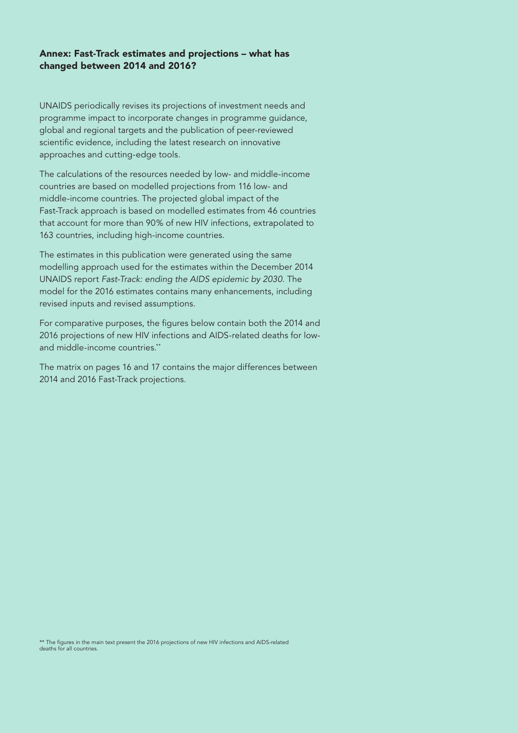# Annex: Fast-Track estimates and projections – what has changed between 2014 and 2016?

UNAIDS periodically revises its projections of investment needs and programme impact to incorporate changes in programme guidance, global and regional targets and the publication of peer-reviewed scientific evidence, including the latest research on innovative approaches and cutting-edge tools.

The calculations of the resources needed by low- and middle-income countries are based on modelled projections from 116 low- and middle-income countries. The projected global impact of the Fast-Track approach is based on modelled estimates from 46 countries that account for more than 90% of new HIV infections, extrapolated to 163 countries, including high-income countries.

The estimates in this publication were generated using the same modelling approach used for the estimates within the December 2014 UNAIDS report *Fast-Track: ending the AIDS epidemic by 2030*. The model for the 2016 estimates contains many enhancements, including revised inputs and revised assumptions.

For comparative purposes, the figures below contain both the 2014 and 2016 projections of new HIV infections and AIDS-related deaths for lowand middle-income countries.<sup>\*\*</sup>

The matrix on pages 16 and 17 contains the major differences between 2014 and 2016 Fast-Track projections.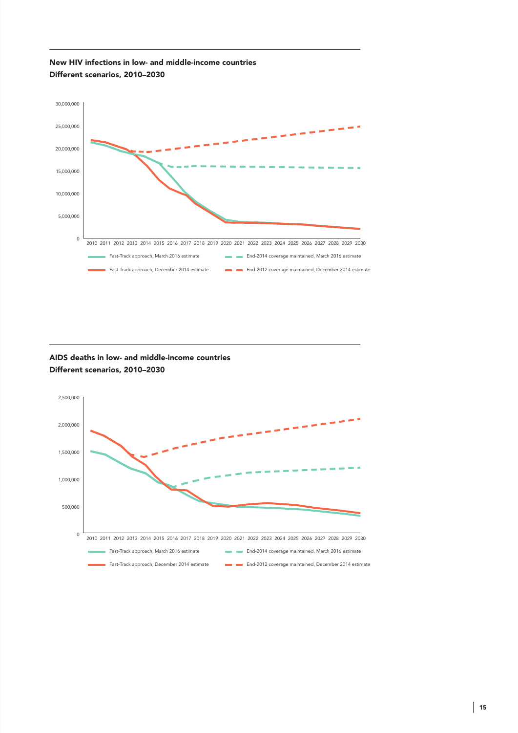# New HIV infections in low- and middle-income countries Different scenarios, 2010–2030



# AIDS deaths in low- and middle-income countries Different scenarios, 2010–2030

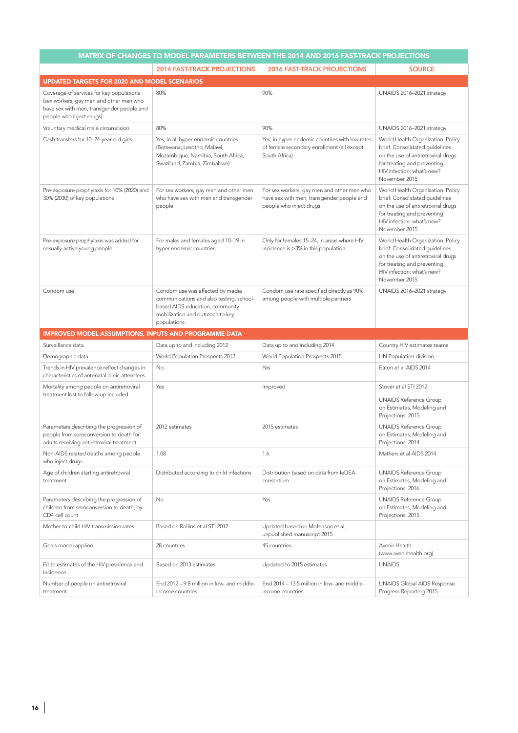| MATRIX OF CHANGES TO MODEL PARAMETERS BETWEEN THE 2014 AND 2016 FAST-TRACK PROJECTIONS                                                                       |                                                                                                                                                                    |                                                                                                                    |                                                                                                                                                                                         |  |  |
|--------------------------------------------------------------------------------------------------------------------------------------------------------------|--------------------------------------------------------------------------------------------------------------------------------------------------------------------|--------------------------------------------------------------------------------------------------------------------|-----------------------------------------------------------------------------------------------------------------------------------------------------------------------------------------|--|--|
|                                                                                                                                                              | <b>2014 FAST-TRACK PROJECTIONS</b>                                                                                                                                 | <b>2016 FAST-TRACK PROJECTIONS</b>                                                                                 | <b>SOURCE</b>                                                                                                                                                                           |  |  |
| <b>UPDATED TARGETS FOR 2020 AND MODEL SCENARIOS</b>                                                                                                          |                                                                                                                                                                    |                                                                                                                    |                                                                                                                                                                                         |  |  |
| Coverage of services for key populations<br>(sex workers, gay men and other men who<br>have sex with men, transgender people and<br>people who inject drugs) | 80%                                                                                                                                                                | 90%                                                                                                                | UNAIDS 2016-2021 strategy                                                                                                                                                               |  |  |
| Voluntary medical male circumcision                                                                                                                          | 80%                                                                                                                                                                | 90%                                                                                                                | UNAIDS 2016-2021 strategy                                                                                                                                                               |  |  |
| Cash transfers for 10-24-year-old girls                                                                                                                      | Yes, in all hyper-endemic countries<br>(Botswana, Lesotho, Malawi,<br>Mozambique, Namibia, South Africa,<br>Swaziland, Zambia, Zimbabwe)                           | Yes, in hyper-endemic countries with low rates<br>of female secondary enrollment (all except<br>South Africa)      | World Health Organization. Policy<br>brief: Consolidated guidelines<br>on the use of antiretroviral drugs<br>for treating and preventing<br>HIV infection: what's new?<br>November 2015 |  |  |
| Pre-exposure prophylaxis for 10% (2020) and<br>30% (2030) of key populations                                                                                 | For sex workers, gay men and other men<br>who have sex with men and transgender<br>people                                                                          | For sex workers, gay men and other men who<br>have sex with men, transgender people and<br>people who inject drugs | World Health Organization. Policy<br>brief: Consolidated guidelines<br>on the use of antiretroviral drugs<br>for treating and preventing<br>HIV infection: what's new?<br>November 2015 |  |  |
| Pre-exposure prophylaxis was added for<br>sexually-active young people                                                                                       | For males and females aged 10-19 in<br>hyper-endemic countries                                                                                                     | Only for females 15-24, in areas where HIV<br>incidence is >3% in this population                                  | World Health Organization. Policy<br>brief: Consolidated guidelines<br>on the use of antiretroviral drugs<br>for treating and preventing<br>HIV infection: what's new?<br>November 2015 |  |  |
| Condom use                                                                                                                                                   | Condom use was affected by media<br>communications and also testing, school-<br>based AIDS education, community<br>mobilization and outreach to key<br>populations | Condom use rate specified directly as 90%<br>among people with multiple partners                                   | UNAIDS 2016-2021 strategy                                                                                                                                                               |  |  |
| <b>IMPROVED MODEL ASSUMPTIONS, INPUTS AND PROGRAMME DATA</b>                                                                                                 |                                                                                                                                                                    |                                                                                                                    |                                                                                                                                                                                         |  |  |
| Surveillance data                                                                                                                                            | Data up to and including 2012                                                                                                                                      | Data up to and including 2014                                                                                      | Country HIV estimates teams                                                                                                                                                             |  |  |
| Demographic data                                                                                                                                             | World Population Prospects 2012                                                                                                                                    | World Population Prospects 2015                                                                                    | UN Population division                                                                                                                                                                  |  |  |
| Trends in HIV prevalence reflect changes in<br>characteristics of antenatal clinic attendees                                                                 | No                                                                                                                                                                 | Yes                                                                                                                | Eaton et al AIDS 2014                                                                                                                                                                   |  |  |
| Mortality among people on antiretroviral<br>treatment lost to follow up included                                                                             | Yes                                                                                                                                                                | Improved                                                                                                           | Stover et al STI 2012<br><b>UNAIDS Reference Group</b><br>on Estimates, Modeling and<br>Projections, 2015                                                                               |  |  |
| Parameters describing the progression of<br>people from seroconversion to death for<br>adults receiving antiretroviral treatment                             | 2012 estimates                                                                                                                                                     | 2015 estimates                                                                                                     | <b>UNAIDS Reference Group</b><br>on Estimates, Modeling and<br>Projections, 2014                                                                                                        |  |  |
| Non-AIDS related deaths among people<br>who inject drugs                                                                                                     | 1.08                                                                                                                                                               | 1.6                                                                                                                | Mathers et al AIDS 2014                                                                                                                                                                 |  |  |
| Age of children starting antiretroviral<br>treatment                                                                                                         | Distributed according to child infections                                                                                                                          | Distribution based on data from IeDEA<br>consortium                                                                | <b>UNAIDS Reference Group</b><br>on Estimates, Modeling and<br>Projections, 2016                                                                                                        |  |  |
| Parameters describing the progression of<br>children from seroconversion to death, by<br>CD4 cell count                                                      | No                                                                                                                                                                 | Yes                                                                                                                | <b>UNAIDS Reference Group</b><br>on Estimates, Modeling and<br>Projections, 2015                                                                                                        |  |  |
| Mother-to-child HIV transmission rates                                                                                                                       | Based on Rollins et al STI 2012                                                                                                                                    | Updated based on Mofenson et al,<br>unpublished manuscript 2015                                                    |                                                                                                                                                                                         |  |  |
| Goals model applied                                                                                                                                          | 28 countries                                                                                                                                                       | 45 countries                                                                                                       | Avenir Health<br>(www.avenirhealth.org)                                                                                                                                                 |  |  |
| Fit to estimates of the HIV prevalence and<br>incidence                                                                                                      | Based on 2013 estimates                                                                                                                                            | Updated to 2015 estimates                                                                                          | <b>UNAIDS</b>                                                                                                                                                                           |  |  |
| Number of people on antiretroviral<br>treatment                                                                                                              | End 2012 - 9.8 million in low- and middle-<br>income countries                                                                                                     | End 2014 - 13.5 million in low- and middle-<br>income countries                                                    | UNAIDS Global AIDS Response<br>Progress Reporting 2015                                                                                                                                  |  |  |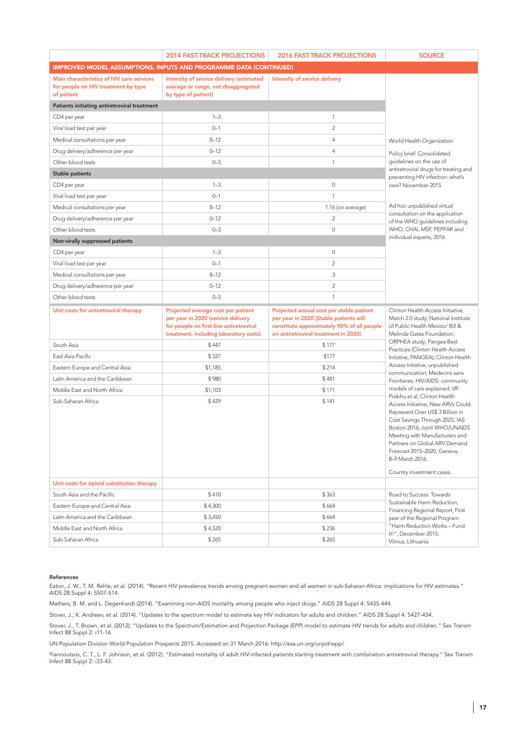|                                                                                                | <b>2014 FAST-TRACK PROJECTIONS</b>                                                                                                                            | <b>2016 FAST-TRACK PROJECTIONS</b>                                                                                                                                       | <b>SOURCE</b>                                                                                                                                                                                                                                                                                                              |  |
|------------------------------------------------------------------------------------------------|---------------------------------------------------------------------------------------------------------------------------------------------------------------|--------------------------------------------------------------------------------------------------------------------------------------------------------------------------|----------------------------------------------------------------------------------------------------------------------------------------------------------------------------------------------------------------------------------------------------------------------------------------------------------------------------|--|
| <b>IMPROVED MODEL ASSUMPTIONS, INPUTS AND PROGRAMME DATA (CONTINUED)</b>                       |                                                                                                                                                               |                                                                                                                                                                          |                                                                                                                                                                                                                                                                                                                            |  |
| Main characteristics of HIV care services<br>for people on HIV treatment by type<br>of patient | Intensity of service delivery (estimated<br>average or range, not disaggregated<br>by type of patient)                                                        | Intensity of service delivery                                                                                                                                            |                                                                                                                                                                                                                                                                                                                            |  |
| Patients initiating antiretroviral treatment                                                   |                                                                                                                                                               |                                                                                                                                                                          |                                                                                                                                                                                                                                                                                                                            |  |
| CD4 per year                                                                                   | $1 - 3$                                                                                                                                                       | 1                                                                                                                                                                        |                                                                                                                                                                                                                                                                                                                            |  |
| Viral load test per year                                                                       | $0 - 1$                                                                                                                                                       | $\overline{2}$                                                                                                                                                           |                                                                                                                                                                                                                                                                                                                            |  |
| Medical consultations per year                                                                 | $8 - 12$                                                                                                                                                      | $\overline{4}$                                                                                                                                                           | World Health Organization                                                                                                                                                                                                                                                                                                  |  |
| Drug delivery/adherence per year                                                               | $0 - 12$                                                                                                                                                      | $\overline{4}$                                                                                                                                                           | Policy brief: Consolidated                                                                                                                                                                                                                                                                                                 |  |
| Other blood tests                                                                              | $0 - 3$                                                                                                                                                       | $\mathbf{1}$                                                                                                                                                             | guidelines on the use of                                                                                                                                                                                                                                                                                                   |  |
| <b>Stable patients</b>                                                                         | antiretroviral drugs for treating and<br>preventing HIV infection: what's                                                                                     |                                                                                                                                                                          |                                                                                                                                                                                                                                                                                                                            |  |
| CD4 per year                                                                                   | $1 - 3$                                                                                                                                                       | $\mathbf{0}$                                                                                                                                                             | new? November 2015                                                                                                                                                                                                                                                                                                         |  |
| Viral load test per year                                                                       | $0 - 1$                                                                                                                                                       | $\mathbf{1}$                                                                                                                                                             |                                                                                                                                                                                                                                                                                                                            |  |
| Medical consultations per year                                                                 | $8 - 12$                                                                                                                                                      | 1.16 (on average)                                                                                                                                                        | Ad hoc unpublished virtual                                                                                                                                                                                                                                                                                                 |  |
| Drug delivery/adherence per year                                                               | $0 - 12$                                                                                                                                                      | $\overline{2}$                                                                                                                                                           | consultation on the application<br>of the WHO guidelines including                                                                                                                                                                                                                                                         |  |
| Other blood tests                                                                              | $0 - 3$                                                                                                                                                       | $\mathbf 0$                                                                                                                                                              | WHO, CHAI, MSF, PEPFAR and                                                                                                                                                                                                                                                                                                 |  |
| Non-virally suppressed patients                                                                |                                                                                                                                                               |                                                                                                                                                                          | individual experts, 2016                                                                                                                                                                                                                                                                                                   |  |
| CD4 per year                                                                                   | $1 - 3$                                                                                                                                                       | $\mathbb O$                                                                                                                                                              |                                                                                                                                                                                                                                                                                                                            |  |
| Viral load test per year                                                                       | $0 - 1$                                                                                                                                                       | $\overline{2}$                                                                                                                                                           |                                                                                                                                                                                                                                                                                                                            |  |
| Medical consultations per year                                                                 | $8 - 12$                                                                                                                                                      | 3                                                                                                                                                                        |                                                                                                                                                                                                                                                                                                                            |  |
| Drug delivery/adherence per year                                                               | $0 - 12$                                                                                                                                                      | $\overline{2}$                                                                                                                                                           |                                                                                                                                                                                                                                                                                                                            |  |
| Other blood tests                                                                              | $0 - 3$                                                                                                                                                       | $\mathbf{1}$                                                                                                                                                             |                                                                                                                                                                                                                                                                                                                            |  |
| Unit costs for antiretroviral therapy                                                          | Projected average cost per patient<br>per year in 2020 (service delivery<br>for people on first-line antiretroviral<br>treatment, including laboratory costs) | Projected annual cost per stable patient<br>per year in 2020 (Stable patients will<br>constitute approximately 90% of all people<br>on antiretroviral treatment in 2020) | Clinton Health Access Initiative,<br>Match 2.0 study; National Institute<br>of Public Health Mexico/ Bill &<br>Melinda Gates Foundation,                                                                                                                                                                                   |  |
| South Asia                                                                                     | \$447                                                                                                                                                         | \$177                                                                                                                                                                    | ORPHEA study; Pangea Best                                                                                                                                                                                                                                                                                                  |  |
| East Asia Pacific                                                                              | \$527                                                                                                                                                         | \$177                                                                                                                                                                    | Practices (Clinton Health Access<br>Initative, PANGEA); Clinton Health                                                                                                                                                                                                                                                     |  |
| Eastern Europe and Central Asia                                                                | \$1,185                                                                                                                                                       | \$214                                                                                                                                                                    | Access Initative, unpublished                                                                                                                                                                                                                                                                                              |  |
| Latin America and the Caribbean                                                                | \$980                                                                                                                                                         | \$481                                                                                                                                                                    | communication; Medecins sans<br>Frontieres, HIV/AIDS: community                                                                                                                                                                                                                                                            |  |
| Middle East and North Africa                                                                   | \$1,103                                                                                                                                                       | \$171                                                                                                                                                                    | models of care explained; VR                                                                                                                                                                                                                                                                                               |  |
| Sub-Saharan Africa                                                                             | \$429                                                                                                                                                         | \$141                                                                                                                                                                    | Prabhu et al, Clinton Health<br>Access Initiative, New ARVs Could<br>Represent Over US\$ 3 Billion in<br>Cost Savings Through 2025, IAS<br>Boston 2016; Joint WHO/UNAIDS<br>Meeting with Manufacturers and<br>Partners on Global ARV Demand<br>Forecast 2015-2020, Geneva,<br>8-9 March 2016.<br>Country investment cases. |  |
| Unit costs for opioid substitution therapy                                                     |                                                                                                                                                               |                                                                                                                                                                          |                                                                                                                                                                                                                                                                                                                            |  |
| South Asia and the Pacific                                                                     | \$410                                                                                                                                                         | \$363                                                                                                                                                                    | Road to Success: Towards<br>Sustainable Harm Reduction.<br>Financing Regional Report, First<br>year of the Regional Program<br>"Harm Reduction Works - Fund<br>It!", December 2015,                                                                                                                                        |  |
| Eastern Europe and Central Asia                                                                | \$4,300                                                                                                                                                       | \$664                                                                                                                                                                    |                                                                                                                                                                                                                                                                                                                            |  |
| Latin America and the Caribbean                                                                | \$3,450                                                                                                                                                       | \$664                                                                                                                                                                    |                                                                                                                                                                                                                                                                                                                            |  |
| Middle East and North Africa                                                                   | \$4,520                                                                                                                                                       | \$236                                                                                                                                                                    |                                                                                                                                                                                                                                                                                                                            |  |
| Sub-Saharan Africa                                                                             | \$265                                                                                                                                                         | \$265                                                                                                                                                                    | Vilnius, Lithuania                                                                                                                                                                                                                                                                                                         |  |

#### References

Eaton, J. W., T. M. Rehle, et al. (2014). "Recent HIV prevalence trends among pregnant women and all women in sub-Saharan Africa: implications for HIV estimates."<br>AIDS 28 Suppl 4: S507-514.

Mathers, B. M. and L. Degenhardt (2014). "Examining non-AIDS mortality among people who inject drugs." AIDS 28 Suppl 4: S435-444.

Stover, J., K. Andreev, et al. (2014). "Updates to the spectrum model to estimate key HIV indicators for adults and children." AIDS 28 Suppl 4: S427-434.

Stover, J., T. Brown, et al. (2012). "Updates to the Spectrum/Estimation and Projection Package (EPP) model to estimate HIV trends for adults and children." Sex Transm<br>Infect 88 Suppl 2: i11-16.

UN Population Division World Population Prospects 2015. Accessed on 31 March 2016: http://esa.un.org/unpd/wpp/

Yiannoutsos, C. T., L. F. Johnson, et al. (2012). "Estimated mortality of adult HIV-infected patients starting treatment with combination antiretroviral therapy." Sex Transm Infect 88 Suppl 2: i33-43.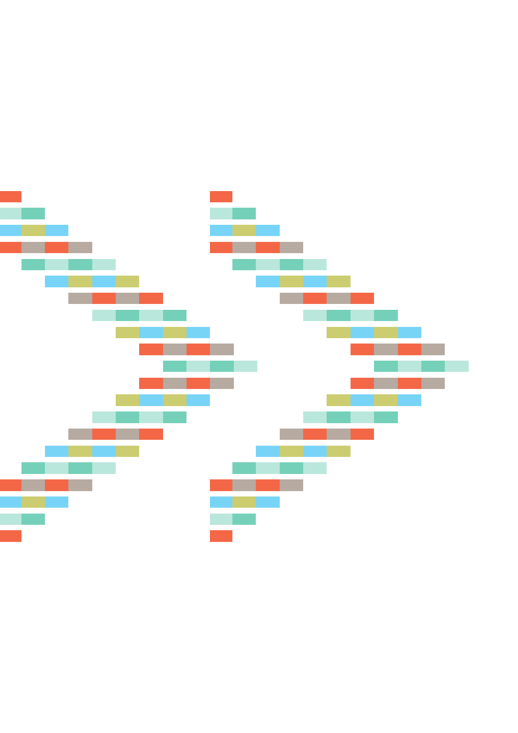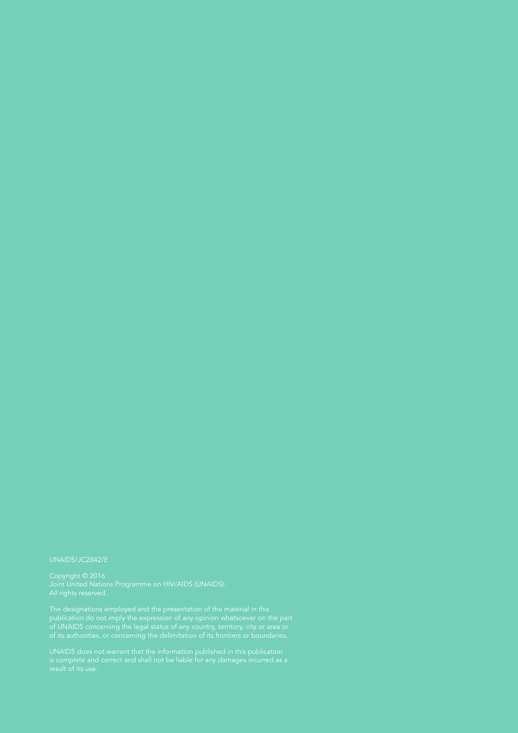#### UNAIDS/JC2842/E

Copyright © 2016 Joint United Nations Programme on HIV/AIDS (UNAIDS).

The designations employed and the presentation of the material in this publication do not imply the expression of any opinion whatsoever on the part of UNAIDS concerning the legal status of any country, territory, city or area or

UNAIDS does not warrant that the information published in this publication